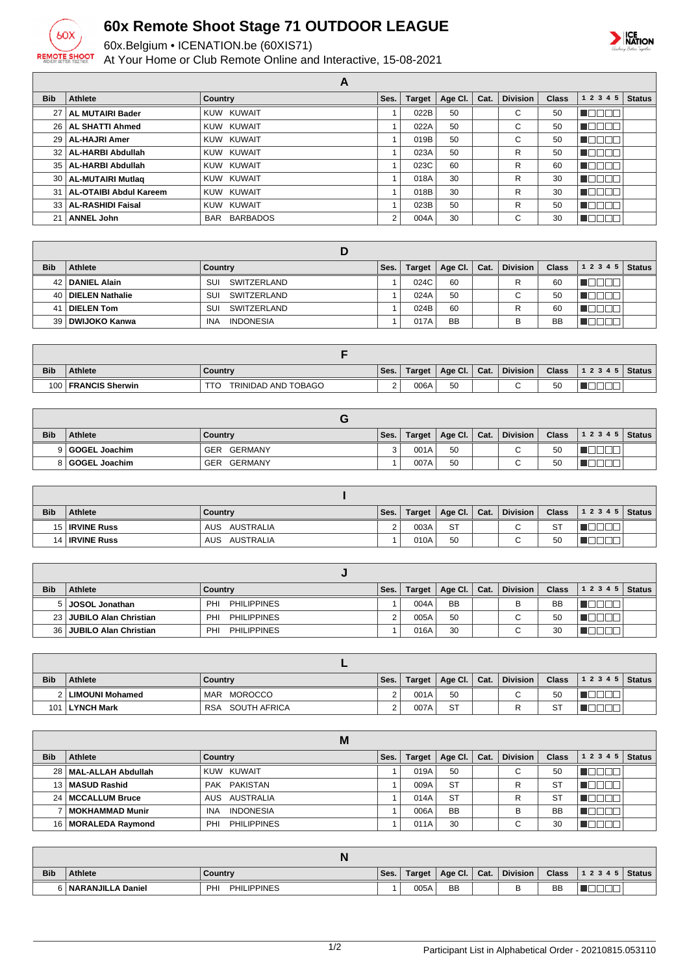

## **60x Remote Shoot Stage 71 OUTDOOR LEAGUE**

60x.Belgium • ICENATION.be (60XIS71)

At Your Home or Club Remote Online and Interactive, 15-08-2021



|            |                             | A              |      |        |         |      |                 |              |                         |               |
|------------|-----------------------------|----------------|------|--------|---------|------|-----------------|--------------|-------------------------|---------------|
| <b>Bib</b> | <b>Athlete</b>              | <b>Country</b> | Ses. | Target | Age Cl. | Cat. | <b>Division</b> | <b>Class</b> | 1 2 3 4 5               | <b>Status</b> |
|            | 27   AL MUTAIRI Bader       | KUW KUWAIT     |      | 022B   | 50      |      | С               | 50           | $\Box \Box \top$<br>◢∟ા |               |
|            | 26   AL SHATTI Ahmed        | KUW KUWAIT     |      | 022A   | 50      |      | C               | 50           | 900                     |               |
|            | 29   AL-HAJRI Amer          | KUW KUWAIT     |      | 019B   | 50      |      | C               | 50           | N E E E E               |               |
|            | 32   AL-HARBI Abdullah      | KUW KUWAIT     |      | 023A   | 50      |      | R               | 50           | <b>INNATI</b>           |               |
|            | 35   AL-HARBI Abdullah      | KUW KUWAIT     |      | 023C   | 60      |      | R               | 60           | $\Box\Box\Box$<br>◢∟ા   |               |
|            | 30   AL-MUTAIRI Mutlag      | KUW KUWAIT     |      | 018A   | 30      |      | R               | 30           | 'OO D                   |               |
|            | 31   AL-OTAIBI Abdul Kareem | KUW KUWAIT     |      | 018B   | 30      |      | R               | 30           | n na n<br>H II          |               |
|            | 33   AL-RASHIDI Faisal      | KUW KUWAIT     |      | 023B   | 50      |      | R               | 50           |                         |               |
| 21         | <b>ANNEL John</b>           | BAR BARBADOS   | 2    | 004A   | 30      |      | С               | 30           |                         |               |

| <b>Bib</b> | Athlete              | Country                        | Ses. | Target | Age Cl.   | Cat. | <b>Division</b> | <b>Class</b> | $12345$ Status |  |
|------------|----------------------|--------------------------------|------|--------|-----------|------|-----------------|--------------|----------------|--|
|            | 42   DANIEL Alain    | SWITZERLAND<br>SUI             |      | 024C   | 60        |      | R               | 60           |                |  |
|            | 40   DIELEN Nathalie | SWITZERLAND<br>SUI             |      | 024A   | 50        |      | ⌒               | 50           |                |  |
|            | 41   DIELEN Tom      | SUI<br>SWITZERLAND             |      | 024B   | 60        |      | R               | 60           |                |  |
|            | 39   DWIJOKO Kanwa   | <b>INDONESIA</b><br><b>INA</b> |      | 017A   | <b>BB</b> |      |                 | <b>BB</b>    |                |  |

| <b>Bib</b> | <b>Athlete</b>         | Country             | Ses.     | Target | Age Cl. | Cat. | <b>Division</b> | <b>Class</b> | 12345 | <b>Status</b> |
|------------|------------------------|---------------------|----------|--------|---------|------|-----------------|--------------|-------|---------------|
| 100        | <b>FRANCIS Sherwin</b> | TRINIDAD AND TOBAGO | <u>.</u> | 006A   | 50      |      |                 | 50           |       |               |

| <b>Bib</b> | <b>Athlete</b>  | Country        | Ses. | Target, | Age Cl.   Cat. | <b>Division</b> | <b>Class</b> | $12345$ Status |  |
|------------|-----------------|----------------|------|---------|----------------|-----------------|--------------|----------------|--|
|            | 9 GOGEL Joachim | GERMANY<br>GER |      | 001A    | 50             | $\sim$<br>ື     | 50           |                |  |
|            | 8 GOGEL Joachim | GERMANY<br>GER |      | 007A    | 50             | ⌒<br>ັ          | 50           |                |  |

| <b>Bib</b> | Athlete               | Country          | Ses. | <b>Target</b> | Age Cl. $ $ | Cat. | <b>Division</b> | <b>Class</b> | 12345 | <b>Status</b> |
|------------|-----------------------|------------------|------|---------------|-------------|------|-----------------|--------------|-------|---------------|
|            | 15 <b>IRVINE Russ</b> | AUS AUSTRALIA    | C    | 003A          | <b>ST</b>   |      | ⌒<br>ີ          | <b>ST</b>    |       |               |
|            | 14   IRVINE Russ      | AUSTRALIA<br>AUS |      | 010A          | 50          |      | ັ               | 50           |       |               |

| <b>Bib</b> | <b>Athlete</b>             | Country                   | Ses. | Target | Age Cl.   Cat. | <b>Division</b> | <b>Class</b> | $12345$ Status |  |
|------------|----------------------------|---------------------------|------|--------|----------------|-----------------|--------------|----------------|--|
|            | 5 JOSOL Jonathan           | PHILIPPINES<br>PHI        |      | 004A   | <b>BB</b>      |                 | <b>BB</b>    |                |  |
|            | 23 JUBILO Alan Christian   | PHILIPPINES<br>PHI        |      | 005A   | 50             |                 | 50           |                |  |
|            | 36   JUBILO Alan Christian | <b>PHILIPPINES</b><br>PHI |      | 016A   | 30             |                 | 30           |                |  |

| <b>Bib</b> | <b>Athlete</b>      | Country                    | Ses. | Target | Age Cl.   Cat. | <b>Division</b> | <b>Class</b> | $12345$ Status |  |
|------------|---------------------|----------------------------|------|--------|----------------|-----------------|--------------|----------------|--|
|            | 2   LIMOUNI Mohamed | MOROCCO<br>MAR             |      | 001A   | 50             | $\sim$          | 50           |                |  |
| 101        | LYNCH Mark          | SOUTH AFRICA<br><b>RSA</b> |      | 007A   | <b>ST</b>      |                 | <b>ST</b>    |                |  |

|                 |                         | M                         |      |               |           |      |                 |              |           |               |
|-----------------|-------------------------|---------------------------|------|---------------|-----------|------|-----------------|--------------|-----------|---------------|
| <b>Bib</b>      | Athlete                 | Country                   | Ses. | <b>Target</b> | Age Cl.   | Cat. | <b>Division</b> | <b>Class</b> | 1 2 3 4 5 | <b>Status</b> |
|                 | 28   MAL-ALLAH Abdullah | KUW KUWAIT                |      | 019A          | 50        |      | $\sim$<br>U     | 50           |           |               |
|                 | 13   MASUD Rashid       | PAK PAKISTAN              |      | 009A          | <b>ST</b> |      | R               | ST           |           |               |
| 24 <sub>1</sub> | <b>MCCALLUM Bruce</b>   | AUS AUSTRALIA             |      | 014A          | <b>ST</b> |      | R               | <b>ST</b>    |           |               |
|                 | MOKHAMMAD Munir         | <b>INDONESIA</b><br>INA   |      | 006A          | <b>BB</b> |      | в               | <b>BB</b>    |           |               |
| 16 I            | MORALEDA Raymond        | <b>PHILIPPINES</b><br>PHI |      | 011A          | 30        |      | ⌒<br>U          | 30           |           |               |

|            |                   | IN                       |      |        |         |      |                 |              |       |          |
|------------|-------------------|--------------------------|------|--------|---------|------|-----------------|--------------|-------|----------|
| <b>Bib</b> | <b>Athlete</b>    | Countrv                  | Ses. | Target | Age Cl. | Cat. | <b>Division</b> | <b>Class</b> | 12345 | ∣ Status |
|            | NARANJILLA Daniel | <b>PHILIPPINES</b><br>PH |      | 005A   | BB      |      | ◡               | <b>BB</b>    |       |          |